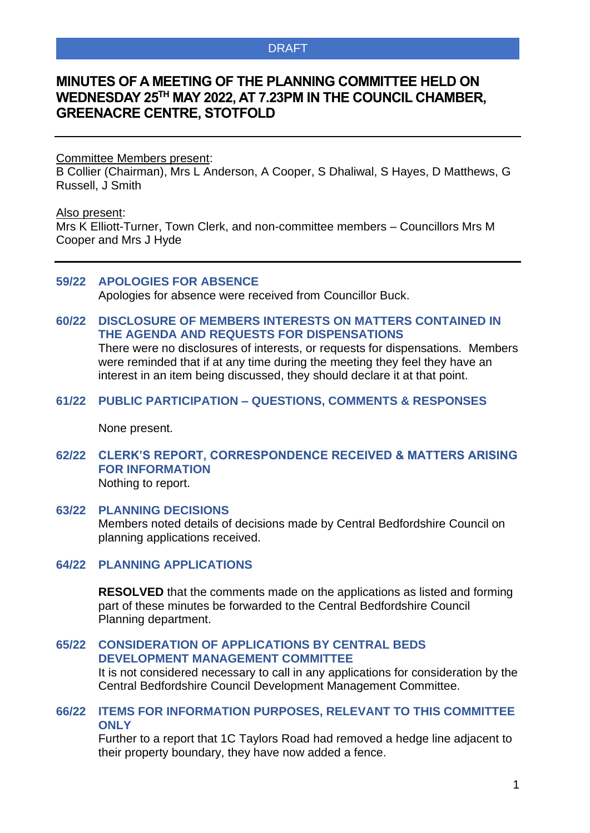# **MINUTES OF A MEETING OF THE PLANNING COMMITTEE HELD ON WEDNESDAY 25 TH MAY 2022, AT 7.23PM IN THE COUNCIL CHAMBER, GREENACRE CENTRE, STOTFOLD**

#### Committee Members present:

B Collier (Chairman), Mrs L Anderson, A Cooper, S Dhaliwal, S Hayes, D Matthews, G Russell, J Smith

## Also present:

Mrs K Elliott-Turner, Town Clerk, and non-committee members – Councillors Mrs M Cooper and Mrs J Hyde

### **59/22 APOLOGIES FOR ABSENCE**

Apologies for absence were received from Councillor Buck.

## **60/22 DISCLOSURE OF MEMBERS INTERESTS ON MATTERS CONTAINED IN THE AGENDA AND REQUESTS FOR DISPENSATIONS**

There were no disclosures of interests, or requests for dispensations. Members were reminded that if at any time during the meeting they feel they have an interest in an item being discussed, they should declare it at that point.

#### **61/22 PUBLIC PARTICIPATION – QUESTIONS, COMMENTS & RESPONSES**

None present.

# **62/22 CLERK'S REPORT, CORRESPONDENCE RECEIVED & MATTERS ARISING FOR INFORMATION**

Nothing to report.

## **63/22 PLANNING DECISIONS** Members noted details of decisions made by Central Bedfordshire Council on planning applications received.

## **64/22 PLANNING APPLICATIONS**

**RESOLVED** that the comments made on the applications as listed and forming part of these minutes be forwarded to the Central Bedfordshire Council Planning department.

## **65/22 CONSIDERATION OF APPLICATIONS BY CENTRAL BEDS DEVELOPMENT MANAGEMENT COMMITTEE**

It is not considered necessary to call in any applications for consideration by the Central Bedfordshire Council Development Management Committee.

## **66/22 ITEMS FOR INFORMATION PURPOSES, RELEVANT TO THIS COMMITTEE ONLY**

Further to a report that 1C Taylors Road had removed a hedge line adjacent to their property boundary, they have now added a fence.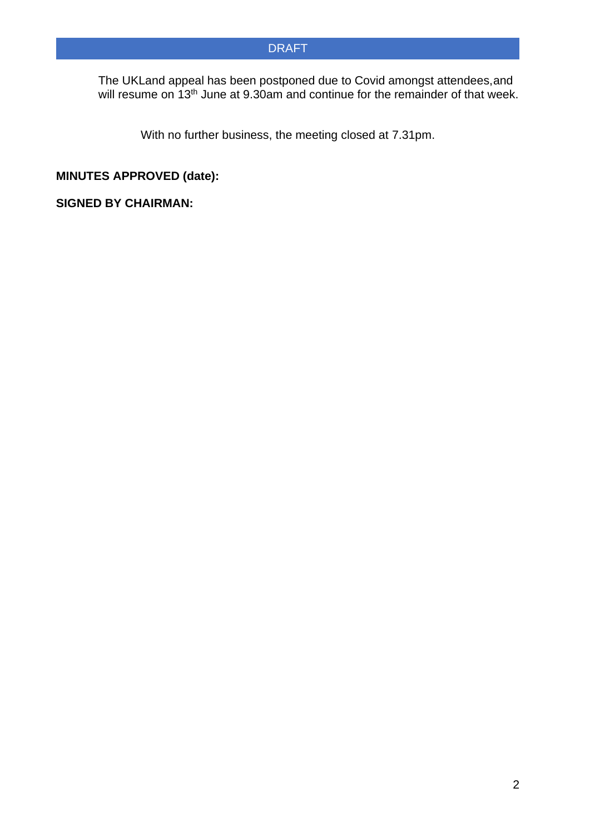The UKLand appeal has been postponed due to Covid amongst attendees,and will resume on 13<sup>th</sup> June at 9.30am and continue for the remainder of that week.

With no further business, the meeting closed at 7.31pm.

# **MINUTES APPROVED (date):**

## **SIGNED BY CHAIRMAN:**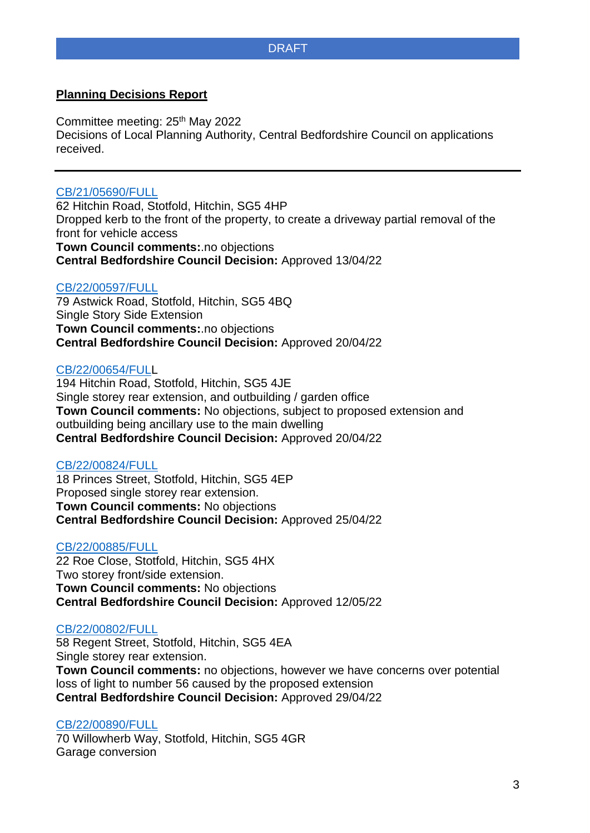## **Planning Decisions Report**

Committee meeting: 25<sup>th</sup> May 2022 Decisions of Local Planning Authority, Central Bedfordshire Council on applications received.

## [CB/21/05690/FULL](http://plantech.centralbedfordshire.gov.uk/PLANTECH/DCWebPages/acolnetcgi.gov?ACTION=UNWRAP&RIPNAME=Root.PgeResultDetail&TheSystemkey=627180)

62 Hitchin Road, Stotfold, Hitchin, SG5 4HP Dropped kerb to the front of the property, to create a driveway partial removal of the front for vehicle access **Town Council comments:**.no objections **Central Bedfordshire Council Decision:** Approved 13/04/22

## [CB/22/00597/FULL](http://plantech.centralbedfordshire.gov.uk/PLANTECH/DCWebPages/acolnetcgi.gov?ACTION=UNWRAP&RIPNAME=Root.PgeResultDetail&TheSystemkey=627794)

79 Astwick Road, Stotfold, Hitchin, SG5 4BQ Single Story Side Extension **Town Council comments:**.no objections **Central Bedfordshire Council Decision:** Approved 20/04/22

## [CB/22/00654/FULL](http://plantech.centralbedfordshire.gov.uk/PLANTECH/DCWebPages/acolnetcgi.gov?ACTION=UNWRAP&RIPNAME=Root.PgeResultDetail&TheSystemkey=627851)

194 Hitchin Road, Stotfold, Hitchin, SG5 4JE Single storey rear extension, and outbuilding / garden office **Town Council comments:** No objections, subject to proposed extension and outbuilding being ancillary use to the main dwelling **Central Bedfordshire Council Decision:** Approved 20/04/22

## [CB/22/00824/FULL](http://plantech.centralbedfordshire.gov.uk/PLANTECH/DCWebPages/acolnetcgi.gov?ACTION=UNWRAP&RIPNAME=Root.PgeResultDetail&TheSystemkey=628021)

18 Princes Street, Stotfold, Hitchin, SG5 4EP Proposed single storey rear extension. **Town Council comments:** No objections **Central Bedfordshire Council Decision:** Approved 25/04/22

## [CB/22/00885/FULL](http://plantech.centralbedfordshire.gov.uk/PLANTECH/DCWebPages/acolnetcgi.gov?ACTION=UNWRAP&RIPNAME=Root.PgeResultDetail&TheSystemkey=628082)

22 Roe Close, Stotfold, Hitchin, SG5 4HX Two storey front/side extension. **Town Council comments:** No objections **Central Bedfordshire Council Decision:** Approved 12/05/22

## [CB/22/00802/FULL](http://plantech.centralbedfordshire.gov.uk/PLANTECH/DCWebPages/acolnetcgi.gov?ACTION=UNWRAP&RIPNAME=Root.PgeResultDetail&TheSystemkey=627999)

58 Regent Street, Stotfold, Hitchin, SG5 4EA Single storey rear extension. **Town Council comments:** no objections, however we have concerns over potential loss of light to number 56 caused by the proposed extension **Central Bedfordshire Council Decision:** Approved 29/04/22

## [CB/22/00890/FULL](http://plantech.centralbedfordshire.gov.uk/PLANTECH/DCWebPages/acolnetcgi.gov?ACTION=UNWRAP&RIPNAME=Root.PgeResultDetail&TheSystemkey=628087)

70 Willowherb Way, Stotfold, Hitchin, SG5 4GR Garage conversion